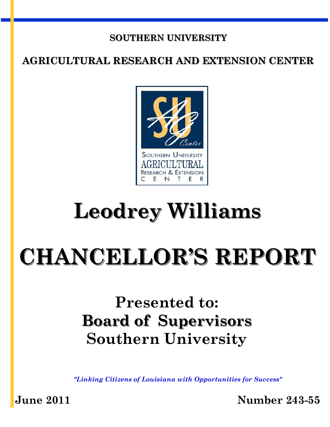# **SOUTHERN UNIVERSITY**

# **AGRICULTURAL RESEARCH AND EXTENSION CENTER**



# **Leodrey Williams**

# **CHANCELLOR'S REPORT**

# **Presented to: Board of Supervisors Southern University**

*"Linking Citizens of Louisiana with Opportunities for Success"* 

**June 2011 Number 243-55**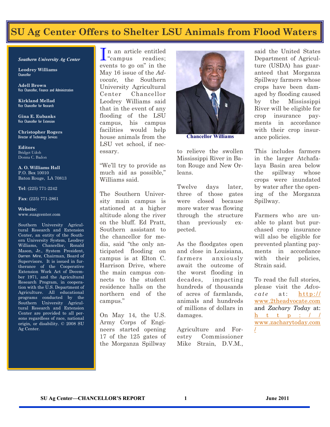# **SU Ag Center Offers to Shelter LSU Animals from Flood Waters**

#### *Southern University Ag Center*

**Leodrey Williams**  Chancellor

**Adell Brown** Vice Chancellor, Finance and Administration

**Kirkland Mellad**  Vice Chancellor for Research

**Gina E. Eubanks**  Vice Chancellor for Extension

**Christopher Rogers** Director of Technology Services

**Editors**  Bridget Udoh Donna C. Badon

**A. O. Williams Hall**  P.O. Box 10010 Baton Rouge, LA 70813

**Tel**: (225) 771-2242

**Fax**: (225) 771-2861

#### **Website**: www.suagcenter.com

Southern University Agricultural Research and Extension Center, an entity of the Southern University System, Leodrey Williams, Chancellor, Ronald Mason, Jr., System President, Darren Mire, Chairman, Board of Supervisors. It is issued in furtherance of the Cooperative Extension Work Act of December 1971, and the Agricultural Research Program, in cooperation with the U.S. Department of Agriculture. All educational programs conducted by the Southern University Agricultural Research and Extension Center are provided to all persons regardless of race, national origin, or disability. © 2008 SU Ag Center.

In an article entitled<br>
"campus readies:  $\mathbf{\mathbb{L}}$  "campus" events to go on" in the May 16 issue of the *Advocate*, the Southern University Agricultural Center Chancellor Leodrey Williams said that in the event of any flooding of the LSU campus, his campus facilities would help house animals from the LSU vet school, if necessary.

"We'll try to provide as much aid as possible," Williams said.

The Southern University main campus is stationed at a higher altitude along the river on the bluff. Ed Pratt, Southern assistant to the chancellor for media, said "the only anticipated flooding on campus is at Elton C. Harrison Drive, where the main campus connects to the student residence halls on the northern end of the campus."

On May 14, the U.S. Army Corps of Engineers started opening 17 of the 125 gates of the Morganza Spillway



**Chancellor Williams** 

to relieve the swollen Mississippi River in Baton Rouge and New Orleans.

Twelve days later, three of those gates were closed because more water was flowing through the structure than previously expected.

As the floodgates open and close in Louisiana, farmers anxiously await the outcome of the worst flooding in decades, impacting hundreds of thousands of acres of farmlands, animals and hundreds of millions of dollars in damages.

Agriculture and Forestry Commissioner Mike Strain, D.V.M.,

said the United States Department of Agriculture (USDA) has guaranteed that Morganza Spillway farmers whose crops have been damaged by flooding caused by the Mississippi River will be eligible for crop insurance payments in accordance with their crop insurance policies.

This includes farmers in the larger Atchafalaya Basin area below the spillway whose crops were inundated by water after the opening of the Morganza Spillway.

Farmers who are unable to plant but purchased crop insurance will also be eligible for prevented planting payments in accordance with their policies, Strain said.

To read the full stories, please visit the *Advocate* at: **http://** [www.2theadvocate.com](http://www.2theadvocate.com) and *Zachary Today* at: h t t p :  $/ /$ [www.zacharytoday.com](http://www.zacharytoday.com/) [/](http://www.zacharytoday.com/)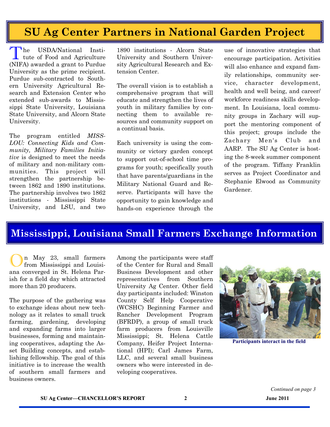# **SU Ag Center Partners in National Garden Project**

The USDA/National Institute of Food and Agriculture (NIFA) awarded a grant to Purdue University as the prime recipient. Purdue sub-contracted to Southern University Agricultural Research and Extension Center who extended sub-awards to Mississippi State University, Louisiana State University, and Alcorn State University.

The program entitled *MISS-LOU: Connecting Kids and Community, Military Families Initiative* is designed to meet the needs of military and non-military communities. This project will strengthen the partnership between 1862 and 1890 institutions. The partnership involves two 1862 institutions - Mississippi State University, and LSU, and two

1890 institutions - Alcorn State University and Southern University Agricultural Research and Extension Center.

The overall vision is to establish a comprehensive program that will educate and strengthen the lives of youth in military families by connecting them to available resources and community support on a continual basis.

Each university is using the community or victory garden concept to support out-of-school time programs for youth; specifically youth that have parents/guardians in the Military National Guard and Reserve. Participants will have the opportunity to gain knowledge and hands-on experience through the

use of innovative strategies that encourage participation. Activities will also enhance and expand family relationships, community service, character development, health and well being, and career/ workforce readiness skills development. In Louisiana, local community groups in Zachary will support the mentoring component of this project; groups include the Zachary Men's Club and AARP. The SU Ag Center is hosting the 8-week summer component of the program. Tiffany Franklin serves as Project Coordinator and Stephanie Elwood as Community Gardener.

# **Mississippi, Louisiana Small Farmers Exchange Information**

n May 23, small farmers from Mississippi and Louisiana converged in St. Helena Parish for a field day which attracted more than 20 producers.

The purpose of the gathering was to exchange ideas about new technology as it relates to small truck farming, gardening, developing and expanding farms into larger businesses, forming and maintaining cooperatives, adapting the Asset Building concepts, and establishing fellowship. The goal of this initiative is to increase the wealth of southern small farmers and business owners.

Among the participants were staff of the Center for Rural and Small Business Development and other representatives from Southern University Ag Center. Other field day participants included: Winston County Self Help Cooperative (WCSHC) Beginning Farmer and Rancher Development Program (BFRDP), a group of small truck farm producers from Louisville Mississippi; St. Helena Cattle Company, Heifer Project International (HPI); Carl James Farm, LLC, and several small business owners who were interested in developing cooperatives.



**Participants interact in the field**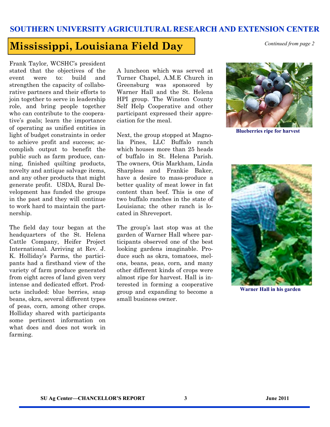## **Mississippi, Louisiana Field Day** *Continued from page 2*

Frank Taylor, WCSHC's president stated that the objectives of the event were to: build and strengthen the capacity of collaborative partners and their efforts to join together to serve in leadership role, and bring people together who can contribute to the cooperative's goals; learn the importance of operating as unified entities in light of budget constraints in order to achieve profit and success; accomplish output to benefit the public such as farm produce, canning, finished quilting products, novelty and antique salvage items, and any other products that might generate profit. USDA, Rural Development has funded the groups in the past and they will continue to work hard to maintain the partnership.

The field day tour began at the headquarters of the St. Helena Cattle Company, Heifer Project International. Arriving at Rev. J. K. Holliday's Farms, the participants had a firsthand view of the variety of farm produce generated from eight acres of land given very intense and dedicated effort. Products included: blue berries, snap beans, okra, several different types of peas, corn, among other crops. Holliday shared with participants some pertinent information on what does and does not work in farming.

A luncheon which was served at Turner Chapel, A.M.E Church in Greensburg was sponsored by Warner Hall and the St. Helena HPI group. The Winston County Self Help Cooperative and other participant expressed their appreciation for the meal.

Next, the group stopped at Magnolia Pines, LLC Buffalo ranch which houses more than 25 heads of buffalo in St. Helena Parish. The owners, Otis Markham, Linda Sharpless and Frankie Baker, have a desire to mass-produce a better quality of meat lower in fat content than beef. This is one of two buffalo ranches in the state of Louisiana; the other ranch is located in Shreveport.

The group's last stop was at the garden of Warner Hall where participants observed one of the best looking gardens imaginable. Produce such as okra, tomatoes, melons, beans, peas, corn, and many other different kinds of crops were almost ripe for harvest. Hall is interested in forming a cooperative group and expanding to become a small business owner.



**Blueberries ripe for harvest** 



**Warner Hall in his garden**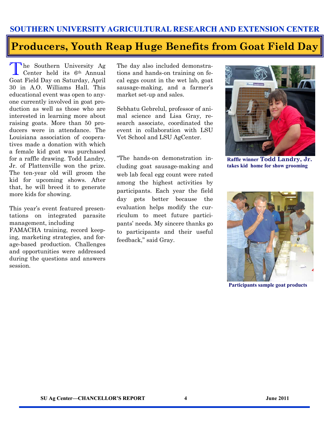# **Producers, Youth Reap Huge Benefits from Goat Field Day**

The Southern University Ag Center held its 6th Annual Goat Field Day on Saturday, April 30 in A.O. Williams Hall. This educational event was open to anyone currently involved in goat production as well as those who are interested in learning more about raising goats. More than 50 producers were in attendance. The Louisiana association of cooperatives made a donation with which a female kid goat was purchased for a raffle drawing. Todd Landry, Jr. of Plattenville won the prize. The ten-year old will groom the kid for upcoming shows. After that, he will breed it to generate more kids for showing.

This year's event featured presentations on integrated parasite management, including FAMACHA training, record keeping, marketing strategies, and forage-based production. Challenges and opportunities were addressed during the questions and answers session.

The day also included demonstrations and hands-on training on fecal eggs count in the wet lab, goat sausage-making, and a farmer's market set-up and sales.

Sebhatu Gebrelul, professor of animal science and Lisa Gray, research associate, coordinated the event in collaboration with LSU Vet School and LSU AgCenter.

"The hands-on demonstration including goat sausage-making and web lab fecal egg count were rated among the highest activities by participants. Each year the field day gets better because the evaluation helps modify the curriculum to meet future participants' needs. My sincere thanks go to participants and their useful feedback," said Gray.



**Raffle winner Todd Landry, Jr. takes kid home for show grooming** 



**Participants sample goat products**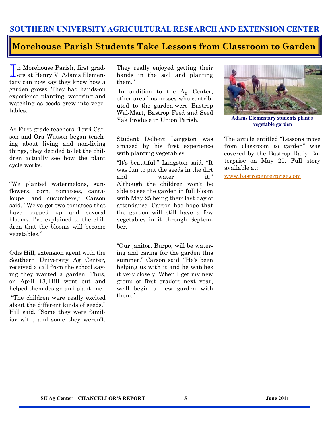### **Morehouse Parish Students Take Lessons from Classroom to Garden**

I n Morehouse Parish, first grad-ers at Henry V. Adams Elementary can now say they know how a garden grows. They had hands-on experience planting, watering and watching as seeds grew into vegetables.

As First-grade teachers, Terri Carson and Ora Watson began teaching about living and non-living things, they decided to let the children actually see how the plant cycle works.

"We planted watermelons, sunflowers, corn, tomatoes, cantaloupe, and cucumbers," Carson said. "We've got two tomatoes that have popped up and several blooms. I've explained to the children that the blooms will become vegetables."

Odis Hill, extension agent with the Southern University Ag Center, received a call from the school saying they wanted a garden. Thus, on April 13, Hill went out and helped them design and plant one.

"The children were really excited about the different kinds of seeds," Hill said. "Some they were familiar with, and some they weren't. They really enjoyed getting their hands in the soil and planting them."

 In addition to the Ag Center, other area businesses who contributed to the garden were Bastrop Wal-Mart, Bastrop Feed and Seed Yak Produce in Union Parish.

Student Delbert Langston was amazed by his first experience with planting vegetables.

"It's beautiful," Langston said. "It was fun to put the seeds in the dirt and water it." Although the children won't be able to see the garden in full bloom with May 25 being their last day of attendance, Carson has hope that the garden will still have a few vegetables in it through September.

"Our janitor, Burpo, will be watering and caring for the garden this summer," Carson said. "He's been helping us with it and he watches it very closely. When I get my new group of first graders next year, we'll begin a new garden with them."



**Adams Elementary students plant a vegetable garden** 

The article entitled "Lessons move from classroom to garden" was covered by the Bastrop Daily Enterprise on May 20. Full story available at:

[www.bastropenterprise.com](http://www.bastropenterprise.com)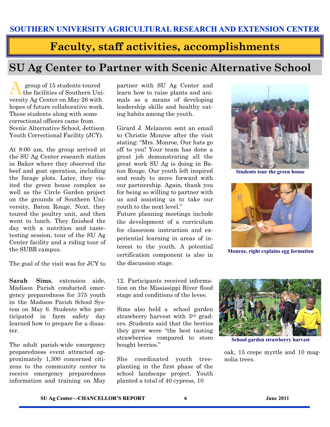# **Faculty, staff activities, accomplishments**

# **SU Ag Center to Partner with Scenic Alternative School**

A group of 15 students toured the facilities of Southern University Ag Center on May 26 with hopes of future collaborative work. These students along with some correctional officers came from Scenic Alternative School, Jettison Youth Correctional Facility (JCY).

At 8:00 am, the group arrived at the SU Ag Center research station in Baker where they observed the beef and goat operation, including the forage plots. Later, they visited the green house complex as well as the Circle Garden project on the grounds of Southern University, Baton Rouge. Next, they toured the poultry unit, and then went to lunch. They finished the day with a nutrition and tastetesting session, tour of the SU Ag Center facility and a riding tour of the SUBR campus.

The goal of the visit was for JCY to

**Sarah Sims**, extension aide, Madison Parish conducted emergency preparedness for 375 youth in the Madison Parish School System on May 6. Students who participated in farm safety day learned how to prepare for a disaster.

The adult parish-wide emergency preparedness event attracted approximately 1,300 concerned citizens to the community center to receive emergency preparedness information and training on May partner with SU Ag Center and learn how to raise plants and animals as a means of developing leadership skills and healthy eating habits among the youth.

Girard J. Melancon sent an email to Christie Monroe after the visit stating: "Mrs. Monroe, Our hats go off to you! Your team has done a great job demonstrating all the great work SU Ag is doing in Baton Rouge. Our youth left inspired and ready to move forward with our partnership. Again, thank you for being so willing to partner with us and assisting us to take our youth to the next level."

Future planning meetings include the development of a curriculum for classroom instruction and experiential learning in areas of interest to the youth. A potential certification component is also in the discussion stage.

12. Participants received information on the Mississippi River flood stage and conditions of the levee.

Sims also held a school garden strawberry harvest with 3rd graders. Students said that the berries they grew were "the best tasting strawberries compared to store bought berries."

She coordinated youth treeplanting in the first phase of the school landscape project. Youth planted a total of 40 cypress, 10



**Students tour the green house** 



**Monroe, right explains egg formation** 



**School garden strawberry harvest** 

oak, 15 crepe myrtle and 10 magnolia trees.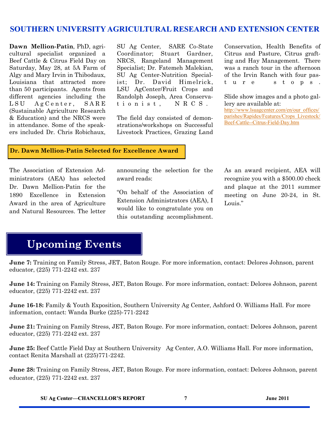**Dawn Mellion-Patin**, PhD, agricultural specialist organized a Beef Cattle & Citrus Field Day on Saturday, May 28, at 5A Farm of Algy and Mary Irvin in Thibodaux, Louisiana that attracted more than 50 participants. Agents from different agencies including the LSU AgCenter, SARE (Sustainable Agriculture Research & Education) and the NRCS were in attendance. Some of the speakers included Dr. Chris Robichaux,

SU Ag Center, SARE Co-State Coordinator; Stuart Gardner, NRCS, Rangeland Management Specialist; Dr. Fatemeh Malekian, SU Ag Center-Nutrition Specialist; [Dr. David Himelrick,](http://www.lsuagcenter.com/en/communications/authors/DHimelrick.htm) LSU AgCenter/Fruit Crops and Randolph Joseph, Area Conservationist, NRCS.

The field day consisted of demonstrations/workshops on Successful Livestock Practices, Grazing Land

Conservation, Health Benefits of Citrus and Pasture, Citrus grafting and Hay Management. There was a ranch tour in the afternoon of the Irvin Ranch with four past u r e s t o p s .

Slide show images and a photo gallery are available at:

[http://www.lsuagcenter.com/en/our\\_offices/](http://www.lsuagcenter.com/en/our_offices/parishes/Rapides/Features/Crops_Livestock/Beef-Cattle--Citrus-Field-Day.htm) [parishes/Rapides/Features/Crops\\_Livestock/](http://www.lsuagcenter.com/en/our_offices/parishes/Rapides/Features/Crops_Livestock/Beef-Cattle--Citrus-Field-Day.htm) [Beef-Cattle--Citrus-Field-Day.htm](http://www.lsuagcenter.com/en/our_offices/parishes/Rapides/Features/Crops_Livestock/Beef-Cattle--Citrus-Field-Day.htm)

#### **Dr. Dawn Mellion-Patin Selected for Excellence Award**

The Association of Extension Administrators (AEA) has selected Dr. Dawn Mellion-Patin for the 1890 Excellence in Extension Award in the area of Agriculture and Natural Resources. The letter announcing the selection for the award reads:

"On behalf of the Association of Extension Administrators (AEA), I would like to congratulate you on this outstanding accomplishment.

As an award recipient, AEA will recognize you with a \$500.00 check and plaque at the 2011 summer meeting on June 20-24, in St. Louis."

# **Upcoming Events**

**June 7:** Training on Family Stress, JET, Baton Rouge. For more information, contact: Delores Johnson, parent educator, (225) 771-2242 ext. 237

**June 14:** Training on Family Stress, JET, Baton Rouge. For more information, contact: Delores Johnson, parent educator, (225) 771-2242 ext. 237

**June 16-18:** Family & Youth Exposition, Southern University Ag Center, Ashford O. Williams Hall. For more information, contact: Wanda Burke (225)-771-2242

**June 21:** Training on Family Stress, JET, Baton Rouge. For more information, contact: Delores Johnson, parent educator, (225) 771-2242 ext. 237

**June 25:** Beef Cattle Field Day at Southern University Ag Center, A.O. Williams Hall. For more information, contact Renita Marshall at (225)771-2242.

**June 28:** Training on Family Stress, JET, Baton Rouge. For more information, contact: Delores Johnson, parent educator, (225) 771-2242 ext. 237

**SU Ag Center—CHANCELLOR'S REPORT 7 June 2011**